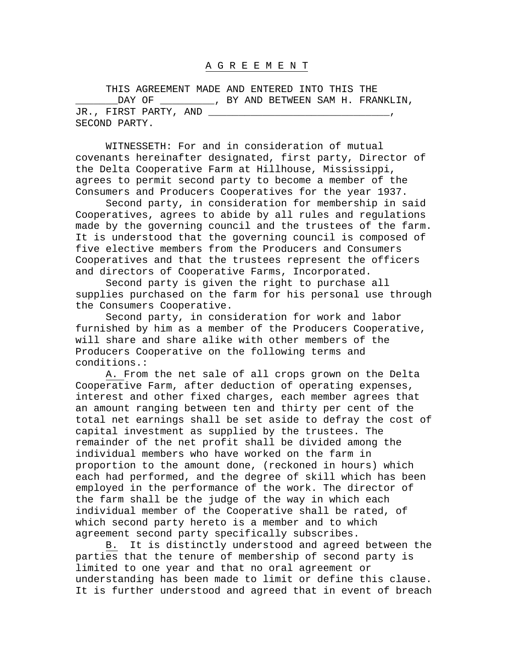## A G R E E M E N T

 THIS AGREEMENT MADE AND ENTERED INTO THIS THE \_DAY OF \_\_\_\_\_\_\_\_\_\_, BY AND BETWEEN SAM H. FRANKLIN, JR., FIRST PARTY, AND SECOND PARTY.

 WITNESSETH: For and in consideration of mutual covenants hereinafter designated, first party, Director of the Delta Cooperative Farm at Hillhouse, Mississippi, agrees to permit second party to become a member of the Consumers and Producers Cooperatives for the year 1937.

 Second party, in consideration for membership in said Cooperatives, agrees to abide by all rules and regulations made by the governing council and the trustees of the farm. It is understood that the governing council is composed of five elective members from the Producers and Consumers Cooperatives and that the trustees represent the officers and directors of Cooperative Farms, Incorporated.

 Second party is given the right to purchase all supplies purchased on the farm for his personal use through the Consumers Cooperative.

 Second party, in consideration for work and labor furnished by him as a member of the Producers Cooperative, will share and share alike with other members of the Producers Cooperative on the following terms and conditions.:

 A. From the net sale of all crops grown on the Delta Cooperative Farm, after deduction of operating expenses, interest and other fixed charges, each member agrees that an amount ranging between ten and thirty per cent of the total net earnings shall be set aside to defray the cost of capital investment as supplied by the trustees. The remainder of the net profit shall be divided among the individual members who have worked on the farm in proportion to the amount done, (reckoned in hours) which each had performed, and the degree of skill which has been employed in the performance of the work. The director of the farm shall be the judge of the way in which each individual member of the Cooperative shall be rated, of which second party hereto is a member and to which agreement second party specifically subscribes.

 B. It is distinctly understood and agreed between the parties that the tenure of membership of second party is limited to one year and that no oral agreement or understanding has been made to limit or define this clause. It is further understood and agreed that in event of breach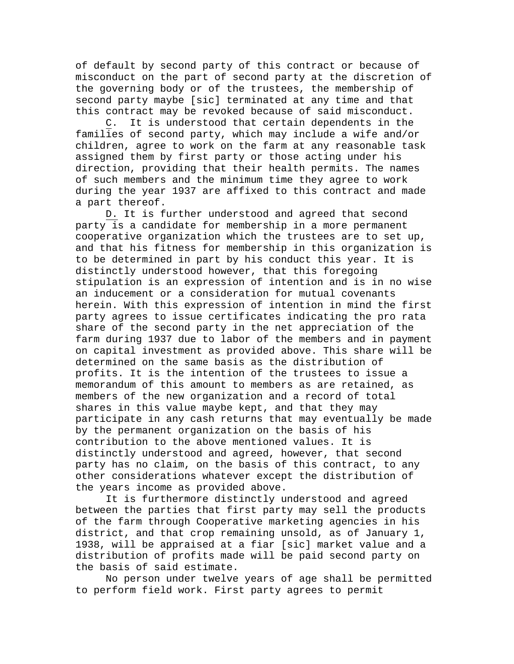of default by second party of this contract or because of misconduct on the part of second party at the discretion of the governing body or of the trustees, the membership of second party maybe [sic] terminated at any time and that this contract may be revoked because of said misconduct.

 C. It is understood that certain dependents in the families of second party, which may include a wife and/or children, agree to work on the farm at any reasonable task assigned them by first party or those acting under his direction, providing that their health permits. The names of such members and the minimum time they agree to work during the year 1937 are affixed to this contract and made a part thereof.

 D. It is further understood and agreed that second party is a candidate for membership in a more permanent cooperative organization which the trustees are to set up, and that his fitness for membership in this organization is to be determined in part by his conduct this year. It is distinctly understood however, that this foregoing stipulation is an expression of intention and is in no wise an inducement or a consideration for mutual covenants herein. With this expression of intention in mind the first party agrees to issue certificates indicating the pro rata share of the second party in the net appreciation of the farm during 1937 due to labor of the members and in payment on capital investment as provided above. This share will be determined on the same basis as the distribution of profits. It is the intention of the trustees to issue a memorandum of this amount to members as are retained, as members of the new organization and a record of total shares in this value maybe kept, and that they may participate in any cash returns that may eventually be made by the permanent organization on the basis of his contribution to the above mentioned values. It is distinctly understood and agreed, however, that second party has no claim, on the basis of this contract, to any other considerations whatever except the distribution of the years income as provided above.

 It is furthermore distinctly understood and agreed between the parties that first party may sell the products of the farm through Cooperative marketing agencies in his district, and that crop remaining unsold, as of January 1, 1938, will be appraised at a fiar [sic] market value and a distribution of profits made will be paid second party on the basis of said estimate.

 No person under twelve years of age shall be permitted to perform field work. First party agrees to permit